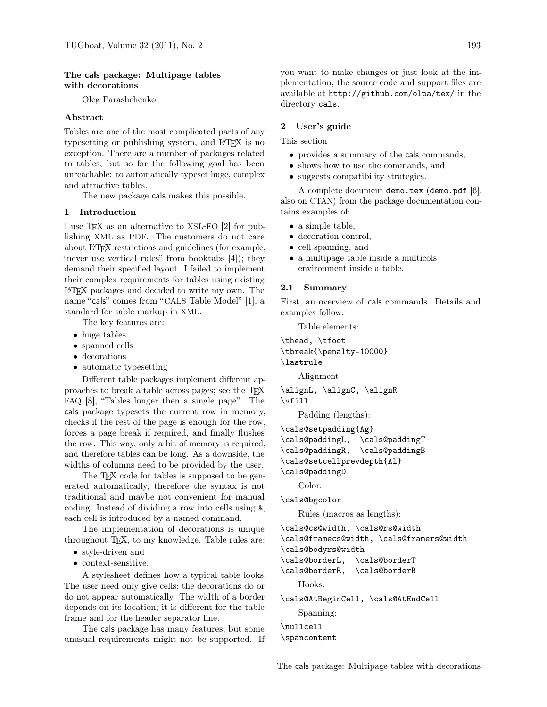#### The cals package: Multipage tables with decorations

Oleg Parashchenko

### Abstract

Tables are one of the most complicated parts of any typesetting or publishing system, and LAT<sub>EX</sub> is no exception. There are a number of packages related to tables, but so far the following goal has been unreachable: to automatically typeset huge, complex and attractive tables.

The new package cals makes this possible.

### 1 Introduction

I use TEX as an alternative to XSL-FO [\[2\]](#page-8-0) for publishing XML as PDF. The customers do not care about LATEX restrictions and guidelines (for example, "never use vertical rules" from booktabs [\[4\]](#page-8-1)); they demand their specified layout. I failed to implement their complex requirements for tables using existing LATEX packages and decided to write my own. The name "cals" comes from "CALS Table Model" [\[1\]](#page-8-2), a standard for table markup in XML.

The key features are:

- huge tables
- spanned cells
- decorations
- automatic typesetting

Different table packages implement different approaches to break a table across pages; see the TEX FAQ [\[8\]](#page-8-3), "Tables longer then a single page". The cals package typesets the current row in memory, checks if the rest of the page is enough for the row, forces a page break if required, and finally flushes the row. This way, only a bit of memory is required, and therefore tables can be long. As a downside, the widths of columns need to be provided by the user.

The T<sub>EX</sub> code for tables is supposed to be generated automatically, therefore the syntax is not traditional and maybe not convenient for manual coding. Instead of dividing a row into cells using &, each cell is introduced by a named command.

The implementation of decorations is unique throughout TEX, to my knowledge. Table rules are:

- style-driven and
- context-sensitive.

A stylesheet defines how a typical table looks. The user need only give cells; the decorations do or do not appear automatically. The width of a border depends on its location; it is different for the table frame and for the header separator line.

The cals package has many features, but some unusual requirements might not be supported. If you want to make changes or just look at the implementation, the source code and support files are available at <http://github.com/olpa/tex/> in the directory cals.

#### 2 User's guide

This section

- provides a summary of the cals commands,
- shows how to use the commands, and
- suggests compatibility strategies.

A complete document demo.tex (demo.pdf [\[6\]](#page-8-4), also on CTAN) from the package documentation contains examples of:

- a simple table,
- decoration control,
- cell spanning, and
- a multipage table inside a multicols environment inside a table.

#### 2.1 Summary

First, an overview of cals commands. Details and examples follow.

Table elements:

```
\thead, \tfoot
\tbreak{\penalty-10000}
\lastrule
```
Alignment:

\alignL, \alignC, \alignR \vfill

Padding (lengths):

```
\cals@setpadding{Ag}
\cals@paddingL, \cals@paddingT
\cals@paddingR, \cals@paddingB
\cals@setcellprevdepth{Al}
```

```
\cals@paddingD
```
Color:

```
\cals@bgcolor
```
Rules (macros as lengths):

```
\cals@cs@width, \cals@rs@width
```

```
\cals@framecs@width, \cals@framers@width
```
\cals@bodyrs@width

```
\cals@borderL, \cals@borderT
```
\cals@borderR, \cals@borderB

Hooks:

\cals@AtBeginCell, \cals@AtEndCell

Spanning:

\nullcell \spancontent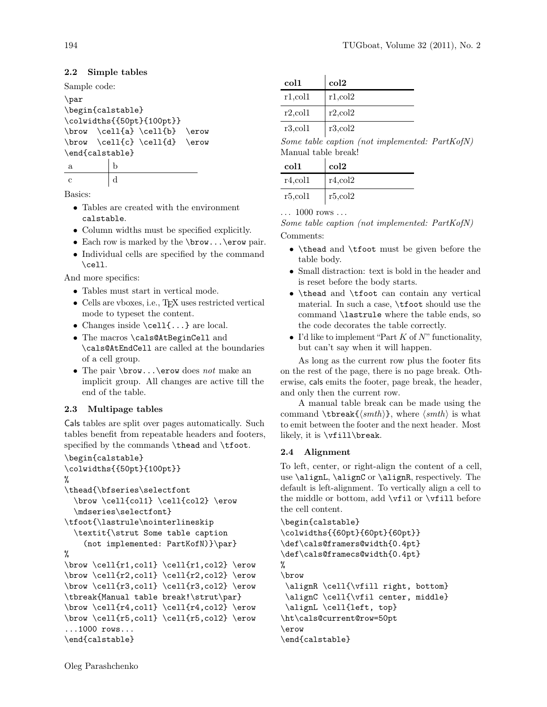## 2.2 Simple tables

Sample code:

```
\par
\begin{calstable}
\colwidths{{50pt}{100pt}}
\forall \cell{a} \cell{b} \erow
\forall \cell{c} \cell{d} \erow
\end{calstable}
```
a b c  $\vert d \vert$ 

Basics:

- Tables are created with the environment calstable.
- Column widths must be specified explicitly.
- Each row is marked by the \brow...\erow pair.
- Individual cells are specified by the command \cell.

And more specifics:

- Tables must start in vertical mode.
- Cells are vboxes, i.e., TEX uses restricted vertical mode to typeset the content.
- Changes inside \cell{...} are local.
- The macros \cals@AtBeginCell and \cals@AtEndCell are called at the boundaries of a cell group.
- The pair \brow...\erow does not make an implicit group. All changes are active till the end of the table.

# 2.3 Multipage tables

Cals tables are split over pages automatically. Such tables benefit from repeatable headers and footers, specified by the commands \thead and \tfoot.

```
\begin{calstable}
\colwidths{{50pt}{100pt}}
%
\thead{\bfseries\selectfont
  \brow \cell{col1} \cell{col2} \erow
  \mdseries\selectfont}
\tfoot{\lastrule\nointerlineskip
  \textit{\strut Some table caption
    (not implemented: PartKofN)}\par}
%
\brow \cell{r1,col1} \cell{r1,col2} \erow
\forall x \cell{r2,col1} \cell{r2,col2} \erow
\forall \cell{r3,col1} \cell{r3,col2} \erow
\tbreak{Manual table break!\strut\par}
\forall x \in \text{r4}, \text{c} \\forall \cell{r5,col1} \cell{r5,col2} \erow
...1000 rows...
\end{calstable}
```

| col1           | $_{\rm col2}$  |
|----------------|----------------|
| $r1$ , col $1$ | r1, col2       |
| $r2$ , col $1$ | $r2$ , col $2$ |
| $r3$ , col $1$ | r3, col2       |

Some table caption (not implemented: PartKofN) Manual table break!

| col1           | $_{\rm col2}$ |
|----------------|---------------|
| $r4$ ,col1     | r4, col2      |
| $r5$ , col $1$ | r5,col2       |

... 1000 rows ...

Some table caption (not implemented: PartKofN) Comments:

- \thead and \tfoot must be given before the table body.
- Small distraction: text is bold in the header and is reset before the body starts.
- \thead and \tfoot can contain any vertical material. In such a case, \tfoot should use the command \lastrule where the table ends, so the code decorates the table correctly.
- I'd like to implement "Part  $K$  of  $N$ " functionality, but can't say when it will happen.

As long as the current row plus the footer fits on the rest of the page, there is no page break. Otherwise, cals emits the footer, page break, the header, and only then the current row.

A manual table break can be made using the command \tbreak{ $\{smth\}$ , where  $\{smth\}$  is what to emit between the footer and the next header. Most likely, it is \vfill\break.

### 2.4 Alignment

To left, center, or right-align the content of a cell, use \alignL, \alignC or \alignR, respectively. The default is left-alignment. To vertically align a cell to the middle or bottom, add \vfil or \vfill before the cell content.

```
\begin{calstable}
\colwidths{{60pt}{60pt}{60pt}}
\def\cals@framers@width{0.4pt}
\def\cals@framecs@width{0.4pt}
%
\brow
 \alignR \cell{\vfill right, bottom}
 \alignC \cell{\vfil center, middle}
 \alignL \cell{left, top}
\ht\cals@current@row=50pt
\erow
\end{calstable}
```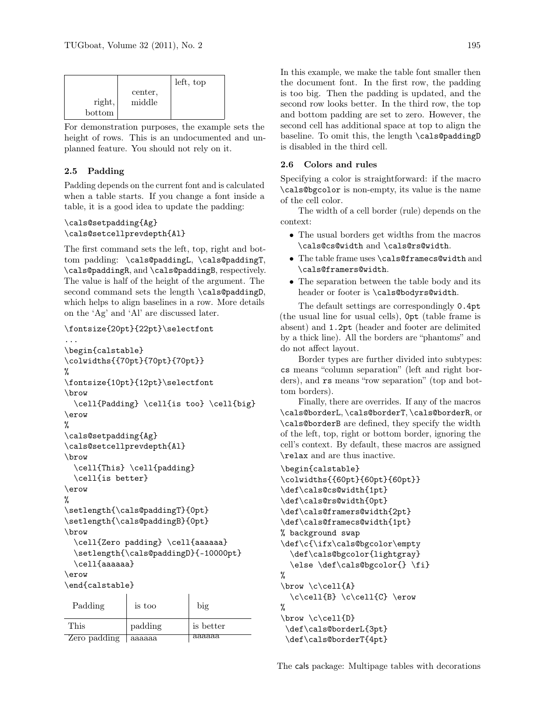|        |         | left, top |
|--------|---------|-----------|
|        | center, |           |
| right, | middle  |           |
| bottom |         |           |

For demonstration purposes, the example sets the height of rows. This is an undocumented and unplanned feature. You should not rely on it.

# 2.5 Padding

Padding depends on the current font and is calculated when a table starts. If you change a font inside a table, it is a good idea to update the padding:

### \cals@setpadding{Ag} \cals@setcellprevdepth{Al}

The first command sets the left, top, right and bottom padding: \cals@paddingL, \cals@paddingT, \cals@paddingR, and \cals@paddingB, respectively. The value is half of the height of the argument. The second command sets the length \cals@paddingD, which helps to align baselines in a row. More details on the 'Ag' and 'Al' are discussed later.

```
\fontsize{20pt}{22pt}\selectfont
...
\begin{calstable}
\colwidths{{70pt}{70pt}{70pt}}
%
\fontsize{10pt}{12pt}\selectfont
\brow
  \cell{Padding} \cell{is too} \cell{big}
\erow
%
\cals@setpadding{Ag}
\cals@setcellprevdepth{Al}
\brow
  \cell{This} \cell{padding}
  \cell{is better}
\erow
%
\setlength{\cals@paddingT}{0pt}
\setlength{\cals@paddingB}{0pt}
\brow
  \cell{Zero padding} \cell{aaaaaa}
  \setlength{\cals@paddingD}{-10000pt}
  \cell{aaaaaa}
\erow
\end{calstable}
 Padding is too big
This | padding is better
```
Zero padding aaaaaa aaaaaa

In this example, we make the table font smaller then the document font. In the first row, the padding is too big. Then the padding is updated, and the second row looks better. In the third row, the top and bottom padding are set to zero. However, the second cell has additional space at top to align the baseline. To omit this, the length \cals@paddingD

## 2.6 Colors and rules

is disabled in the third cell.

Specifying a color is straightforward: if the macro \cals@bgcolor is non-empty, its value is the name of the cell color.

The width of a cell border (rule) depends on the context:

- The usual borders get widths from the macros \cals@cs@width and \cals@rs@width.
- The table frame uses \cals@framecs@width and \cals@framers@width.
- The separation between the table body and its header or footer is \cals@bodyrs@width.

The default settings are correspondingly 0.4pt (the usual line for usual cells), 0pt (table frame is absent) and 1.2pt (header and footer are delimited by a thick line). All the borders are "phantoms" and do not affect layout.

Border types are further divided into subtypes: cs means "column separation" (left and right borders), and rs means "row separation" (top and bottom borders).

Finally, there are overrides. If any of the macros \cals@borderL, \cals@borderT, \cals@borderR, or \cals@borderB are defined, they specify the width of the left, top, right or bottom border, ignoring the cell's context. By default, these macros are assigned \relax and are thus inactive.

```
\begin{calstable}
\colwidths{{60pt}{60pt}{60pt}}
\def\cals@cs@width{1pt}
\def\cals@rs@width{0pt}
\def\cals@framers@width{2pt}
\def\cals@framecs@width{1pt}
% background swap
\def\c{\ifx\cals@bgcolor\empty
  \def\cals@bgcolor{lightgray}
  \else \def\cals@bgcolor{} \fi}
%
\forall \c\cell{A}
  \c\cell\{B\} \c\cell\{C\} \erow%
\brow \c\cell{D}
 \def\cals@borderL{3pt}
 \def\cals@borderT{4pt}
```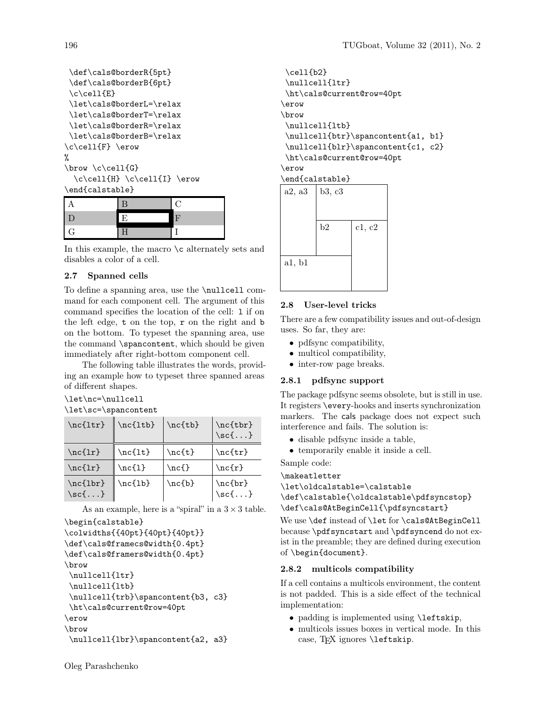```
\def\cals@borderR{5pt}
 \def\cals@borderB{6pt}
 \c\cel1{E}\let\cals@borderL=\relax
 \let\cals@borderT=\relax
 \let\cals@borderR=\relax
 \let\cals@borderB=\relax
\c\cell{F} \erow
%
\brow \c\cell{G}
  \c\cell{H} \c\cell{I} \\end{calstable}
```

| I<br>$\mathcal G$ |  |
|-------------------|--|

In this example, the macro  $\setminus c$  alternately sets and disables a color of a cell.

# 2.7 Spanned cells

To define a spanning area, use the \nullcell command for each component cell. The argument of this command specifies the location of the cell: l if on the left edge, t on the top, r on the right and b on the bottom. To typeset the spanning area, use the command \spancontent, which should be given immediately after right-bottom component cell.

The following table illustrates the words, providing an example how to typeset three spanned areas of different shapes.

```
\let\nc=\nullcell
\let\sc=\spancontent
```

| $\nc{ltr}$                                | \nc{ltb}    | $\nc{tb}$              | $\nc{tbr}$<br>$\setminus$ sc $\{ \ldots \}$  |
|-------------------------------------------|-------------|------------------------|----------------------------------------------|
| $\nc{1r}$                                 | $\n\nc{lt}$ | $\net$                 | $\net r$                                     |
| $\nc{1r}$                                 | $\nc{1}$    | $\n\operatorname{ncf}$ | $\nc{r}$                                     |
| \nc{lbr}<br>$\setminus$ sc $\{ \ldots \}$ | \nc{lb}     | $\n\nc{b}$             | $\n\nc{br}$<br>$\setminus$ sc $\{ \ldots \}$ |

As an example, here is a "spiral" in a  $3 \times 3$  table.

```
\begin{calstable}
```

```
\colwidths{{40pt}{40pt}{40pt}}
\def\cals@framecs@width{0.4pt}
\def\cals@framers@width{0.4pt}
\brow
 \nullcell{ltr}
\nullcell{ltb}
 \nullcell{trb}\spancontent{b3, c3}
\ht\cals@current@row=40pt
\erow
\brow
\nullcell{lbr}\spancontent{a2, a3}
```

```
\cell{b2}
\nullcell{ltr}
\ht\cals@current@row=40pt
\erow
\brow
\nullcell{ltb}
\nullcell{btr}\spancontent{a1, b1}
\nullcell{blr}\spancontent{c1, c2}
\ht\cals@current@row=40pt
\erow
```
#### \end{calstable}

| a2, a3 | b3, c3 |        |
|--------|--------|--------|
|        | b2     | c1, c2 |
| a1, b1 |        |        |

# 2.8 User-level tricks

There are a few compatibility issues and out-of-design uses. So far, they are:

- pdfsync compatibility,
- multicol compatibility,
- inter-row page breaks.

# 2.8.1 pdfsync support

The package pdfsync seems obsolete, but is still in use. It registers \every-hooks and inserts synchronization markers. The cals package does not expect such interference and fails. The solution is:

- disable pdfsync inside a table,
- temporarily enable it inside a cell.

Sample code:

### \makeatletter

\let\oldcalstable=\calstable

```
\def\calstable{\oldcalstable\pdfsyncstop}
\def\cals@AtBeginCell{\pdfsyncstart}
```
We use **\def** instead of **\let** for **\cals@AtBeginCell** because \pdfsyncstart and \pdfsyncend do not exist in the preamble; they are defined during execution of \begin{document}.

### 2.8.2 multicols compatibility

If a cell contains a multicols environment, the content is not padded. This is a side effect of the technical implementation:

- padding is implemented using \leftskip,
- multicols issues boxes in vertical mode. In this case, TFX ignores *\leftskip*.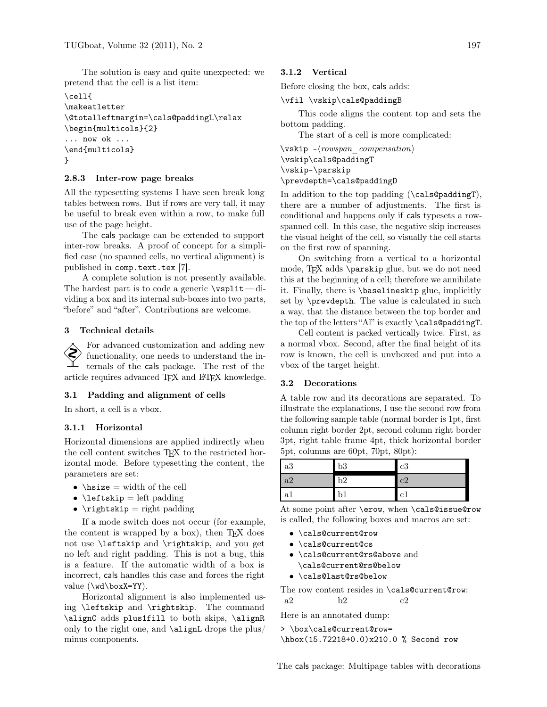The solution is easy and quite unexpected: we pretend that the cell is a list item:

```
\cell{
\makeatletter
\@totalleftmargin=\cals@paddingL\relax
\begin{multicols}{2}
... now ok ...
\end{multicols}
}
```
#### 2.8.3 Inter-row page breaks

All the typesetting systems I have seen break long tables between rows. But if rows are very tall, it may be useful to break even within a row, to make full use of the page height.

The cals package can be extended to support inter-row breaks. A proof of concept for a simplified case (no spanned cells, no vertical alignment) is published in <comp.text.tex> [\[7\]](#page-8-5).

A complete solution is not presently available. The hardest part is to code a generic  $\sigma$ viding a box and its internal sub-boxes into two parts, "before" and "after". Contributions are welcome.

## 3 Technical details

 For advanced customization and adding new functionality, one needs to understand the internals of the cals package. The rest of the article requires advanced TEX and LATEX knowledge.

### 3.1 Padding and alignment of cells

In short, a cell is a vbox.

### 3.1.1 Horizontal

Horizontal dimensions are applied indirectly when the cell content switches T<sub>EX</sub> to the restricted horizontal mode. Before typesetting the content, the parameters are set:

- $\hspace{1em}\text{while}\hspace{1em}$  hsize = width of the cell
- $\left\{ \right\}$  leftskip = left padding
- $\rightarrow$   $\alpha$

If a mode switch does not occur (for example, the content is wrapped by a box), then T<sub>E</sub>X does not use \leftskip and \rightskip, and you get no left and right padding. This is not a bug, this is a feature. If the automatic width of a box is incorrect, cals handles this case and forces the right value  $(\wedge \text{boxX=YY}).$ 

Horizontal alignment is also implemented using \leftskip and \rightskip. The command \alignC adds plus1fill to both skips, \alignR only to the right one, and \alignL drops the plus/ minus components.

### 3.1.2 Vertical

Before closing the box, cals adds:

#### \vfil \vskip\cals@paddingB

This code aligns the content top and sets the bottom padding.

The start of a cell is more complicated:

 $\text{vskip} -\text{rowspan}$  compensation) \vskip\cals@paddingT \vskip-\parskip \prevdepth=\cals@paddingD

In addition to the top padding (\cals@paddingT), there are a number of adjustments. The first is conditional and happens only if cals typesets a rowspanned cell. In this case, the negative skip increases the visual height of the cell, so visually the cell starts on the first row of spanning.

On switching from a vertical to a horizontal mode, TEX adds \parskip glue, but we do not need this at the beginning of a cell; therefore we annihilate it. Finally, there is \baselineskip glue, implicitly set by \prevdepth. The value is calculated in such a way, that the distance between the top border and the top of the letters "Al" is exactly \cals@paddingT.

Cell content is packed vertically twice. First, as a normal vbox. Second, after the final height of its row is known, the cell is unvboxed and put into a vbox of the target height.

#### 3.2 Decorations

A table row and its decorations are separated. To illustrate the explanations, I use the second row from the following sample table (normal border is 1pt, first column right border 2pt, second column right border 3pt, right table frame 4pt, thick horizontal border 5pt, columns are 60pt, 70pt, 80pt):

| a3  | b3 | c3 |
|-----|----|----|
| a2  | b2 | c2 |
| -a1 |    | c1 |

At some point after \erow, when \cals@issue@row is called, the following boxes and macros are set:

- \cals@current@row
- \cals@current@cs
- \cals@current@rs@above and \cals@current@rs@below
- \cals@last@rs@below

The row content resides in \cals@current@row: a2 b2 c2

Here is an annotated dump:

```
> \box\cals@current@row=
\hbox(15.72218+0.0)x210.0 % Second row
```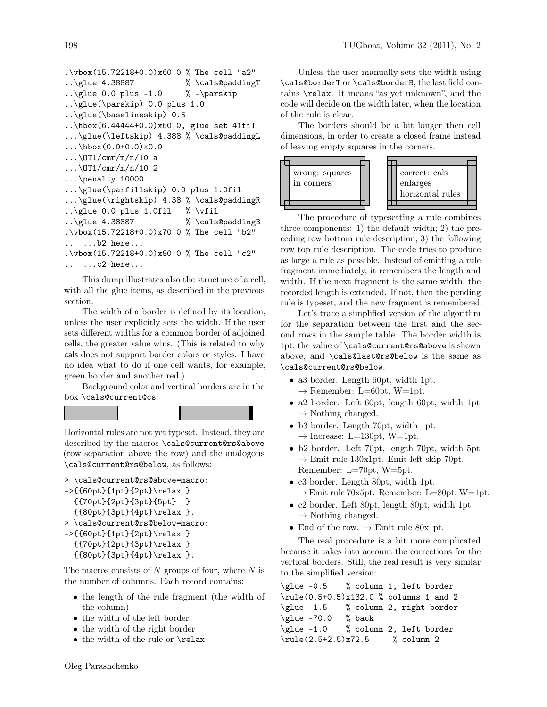```
.\forall \text{box}(15.72218+0.0) \times 60.0 % The cell "a2"
..\glue 4.38887 %\cals@paddingT
..\glue 0.0 plus -1.0 % -\parals'..\glue(\parskip) 0.0 plus 1.0
..\glue(\baselineskip) 0.5
..\hbox(6.44444+0.0)x60.0, glue set 41fil
...\glue(\leftskip) 4.388 % \cals@paddingL
...\hbox(0.0+0.0)x0.0
\ldots\OT1/cmr/m/n/10 a
\ldots\OT1/cmr/m/n/10 2
...\penalty 10000
...\glue(\parfillskip) 0.0 plus 1.0fil
...\glue(\rightskip) 4.38 % \cals@paddingR
..\glue 0.0 plus 1.0fil % \vfil
..\glue 4.38887 %\cals@paddingB
.\vbox(15.72218+0.0)x70.0 % The cell "b2"
  .. ...b2 here...
.\vbox(15.72218+0.0)x80.0 % The cell "c2"
.. ...c2 here...
```
This dump illustrates also the structure of a cell, with all the glue items, as described in the previous section.

The width of a border is defined by its location, unless the user explicitly sets the width. If the user sets different widths for a common border of adjoined cells, the greater value wins. (This is related to why cals does not support border colors or styles: I have no idea what to do if one cell wants, for example, green border and another red.)

Background color and vertical borders are in the box \cals@current@cs:

Horizontal rules are not yet typeset. Instead, they are described by the macros \cals@current@rs@above (row separation above the row) and the analogous \cals@current@rs@below, as follows:

```
> \cals@current@rs@above=macro:
->{{60pt}{1pt}{2pt}\relax }
  {{70pt}{2pt}{3pt}{5pt} }
  {{80pt}{3pt}{4pt}\relax }.
> \cals@current@rs@below=macro:
->{{60pt}{1pt}{2pt}\relax }
  {{70pt}{2pt}{3pt}\relax }
```

```
{{80pt}{3pt}{4pt}\relax }.
```
The macros consists of  $N$  groups of four, where  $N$  is the number of columns. Each record contains:

- the length of the rule fragment (the width of the column)
- the width of the left border
- the width of the right border
- the width of the rule or \relax

Unless the user manually sets the width using \cals@borderT or \cals@borderB, the last field contains \relax. It means "as yet unknown", and the code will decide on the width later, when the location of the rule is clear.

The borders should be a bit longer then cell dimensions, in order to create a closed frame instead of leaving empty squares in the corners.



The procedure of typesetting a rule combines three components: 1) the default width; 2) the preceding row bottom rule description; 3) the following row top rule description. The code tries to produce as large a rule as possible. Instead of emitting a rule fragment immediately, it remembers the length and width. If the next fragment is the same width, the recorded length is extended. If not, then the pending rule is typeset, and the new fragment is remembered.

Let's trace a simplified version of the algorithm for the separation between the first and the second rows in the sample table. The border width is 1pt, the value of \cals@current@rs@above is shown above, and \cals@last@rs@below is the same as \cals@current@rs@below.

- a3 border. Length 60pt, width 1pt.  $\rightarrow$  Remember: L=60pt, W=1pt.
- a2 border. Left 60pt, length 60pt, width 1pt.  $\rightarrow$  Nothing changed.
- b3 border. Length 70pt, width 1pt.  $\rightarrow$  Increase: L=130pt, W=1pt.
- b2 border. Left 70pt, length 70pt, width 5pt.  $\rightarrow$  Emit rule 130x1pt. Emit left skip 70pt. Remember: L=70pt, W=5pt.
- c3 border. Length 80pt, width 1pt.  $\rightarrow$  Emit rule 70x5pt. Remember: L=80pt, W=1pt.
- c2 border. Left 80pt, length 80pt, width 1pt.  $\rightarrow$  Nothing changed.
- End of the row.  $\rightarrow$  Emit rule 80x1pt.

The real procedure is a bit more complicated because it takes into account the corrections for the vertical borders. Still, the real result is very similar to the simplified version:

```
\glue -0.5 % column 1, left border
\rule(0.5+0.5)x132.0 % columns 1 and 2
\glue -1.5 % column 2, right border
\glue -70.0 % back
\glue -1.0 % column 2, left border
\rule(2.5+2.5)x72.5 % column 2
```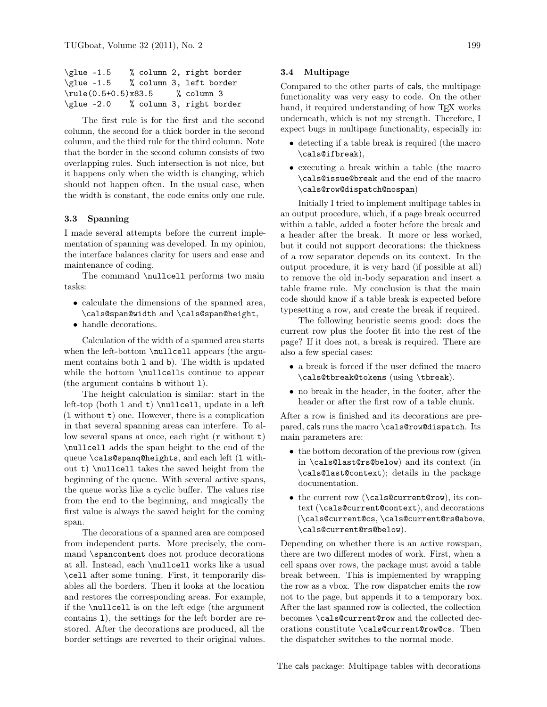| $\qquad -1.5$          |  | % column 2, right border |
|------------------------|--|--------------------------|
| $\qquad -1.5$          |  | % column 3, left border  |
| $\mu(e(0.5+0.5)x83.5)$ |  | % column 3               |
| $\qquad -2.0$          |  | % column 3, right border |

The first rule is for the first and the second column, the second for a thick border in the second column, and the third rule for the third column. Note that the border in the second column consists of two overlapping rules. Such intersection is not nice, but it happens only when the width is changing, which should not happen often. In the usual case, when the width is constant, the code emits only one rule.

#### 3.3 Spanning

I made several attempts before the current implementation of spanning was developed. In my opinion, the interface balances clarity for users and ease and maintenance of coding.

The command \nullcell performs two main tasks:

- calculate the dimensions of the spanned area, \cals@span@width and \cals@span@height,
- handle decorations.

Calculation of the width of a spanned area starts when the left-bottom \nullcell appears (the argument contains both l and b). The width is updated while the bottom \nullcells continue to appear (the argument contains b without l).

The height calculation is similar: start in the left-top (both 1 and  $t$ ) \nullcell, update in a left (l without t) one. However, there is a complication in that several spanning areas can interfere. To allow several spans at once, each right  $(r \text{ without } t)$ \nullcell adds the span height to the end of the queue \cals@spanq@heights, and each left (l without t) \nullcell takes the saved height from the beginning of the queue. With several active spans, the queue works like a cyclic buffer. The values rise from the end to the beginning, and magically the first value is always the saved height for the coming span.

The decorations of a spanned area are composed from independent parts. More precisely, the command \spancontent does not produce decorations at all. Instead, each \nullcell works like a usual \cell after some tuning. First, it temporarily disables all the borders. Then it looks at the location and restores the corresponding areas. For example, if the \nullcell is on the left edge (the argument contains l), the settings for the left border are restored. After the decorations are produced, all the border settings are reverted to their original values.

## 3.4 Multipage

Compared to the other parts of cals, the multipage functionality was very easy to code. On the other hand, it required understanding of how T<sub>E</sub>X works underneath, which is not my strength. Therefore, I expect bugs in multipage functionality, especially in:

- detecting if a table break is required (the macro \cals@ifbreak),
- executing a break within a table (the macro \cals@issue@break and the end of the macro \cals@row@dispatch@nospan)

Initially I tried to implement multipage tables in an output procedure, which, if a page break occurred within a table, added a footer before the break and a header after the break. It more or less worked, but it could not support decorations: the thickness of a row separator depends on its context. In the output procedure, it is very hard (if possible at all) to remove the old in-body separation and insert a table frame rule. My conclusion is that the main code should know if a table break is expected before typesetting a row, and create the break if required.

The following heuristic seems good: does the current row plus the footer fit into the rest of the page? If it does not, a break is required. There are also a few special cases:

- a break is forced if the user defined the macro \cals@tbreak@tokens (using \tbreak).
- no break in the header, in the footer, after the header or after the first row of a table chunk.

After a row is finished and its decorations are prepared, cals runs the macro \cals@row@dispatch. Its main parameters are:

- the bottom decoration of the previous row (given in \cals@last@rs@below) and its context (in \cals@last@context); details in the package documentation.
- the current row (\cals@current@row), its context (\cals@current@context), and decorations (\cals@current@cs, \cals@current@rs@above, \cals@current@rs@below).

Depending on whether there is an active rowspan, there are two different modes of work. First, when a cell spans over rows, the package must avoid a table break between. This is implemented by wrapping the row as a vbox. The row dispatcher emits the row not to the page, but appends it to a temporary box. After the last spanned row is collected, the collection becomes \cals@current@row and the collected decorations constitute \cals@current@row@cs. Then the dispatcher switches to the normal mode.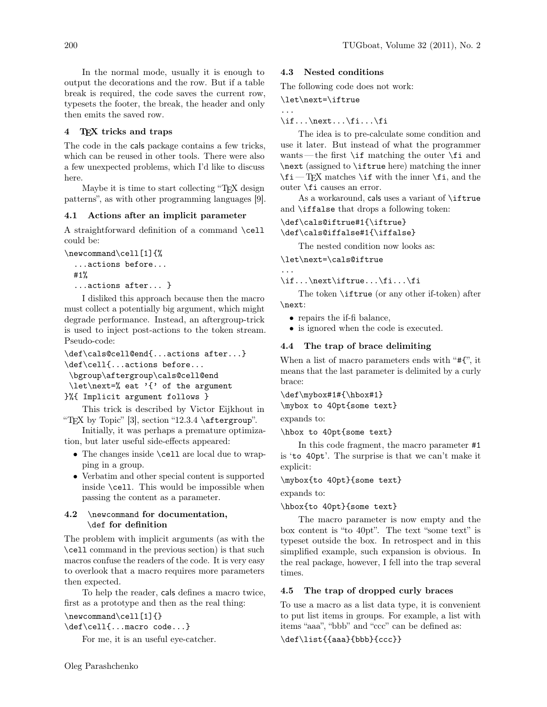In the normal mode, usually it is enough to output the decorations and the row. But if a table break is required, the code saves the current row, typesets the footer, the break, the header and only then emits the saved row.

# T<sub>EX</sub> tricks and traps

The code in the cals package contains a few tricks, which can be reused in other tools. There were also a few unexpected problems, which I'd like to discuss here.

Maybe it is time to start collecting "TEX design patterns", as with other programming languages [\[9\]](#page-8-6).

#### 4.1 Actions after an implicit parameter

A straightforward definition of a command \cell could be:

```
\newcommand\cell[1]{%
```

```
...actions before...
#1%
```

```
...actions after... }
```
I disliked this approach because then the macro must collect a potentially big argument, which might degrade performance. Instead, an aftergroup-trick is used to inject post-actions to the token stream. Pseudo-code:

```
\def\cals@cell@end{...actions after...}
\def\cell{...actions before...
\bgroup\aftergroup\cals@cell@end
\let\next=% eat '{' of the argument
```

```
}%{ Implicit argument follows }
```
This trick is described by Victor Eijkhout in "TEX by Topic" [\[3\]](#page-8-7), section "12.3.4 \aftergroup".

Initially, it was perhaps a premature optimization, but later useful side-effects appeared:

- The changes inside \cell are local due to wrapping in a group.
- Verbatim and other special content is supported inside \cell. This would be impossible when passing the content as a parameter.

# 4.2 \newcommand for documentation, \def for definition

The problem with implicit arguments (as with the \cell command in the previous section) is that such macros confuse the readers of the code. It is very easy to overlook that a macro requires more parameters then expected.

To help the reader, cals defines a macro twice, first as a prototype and then as the real thing:

### \newcommand\cell[1]{}

\def\cell{...macro code...}

For me, it is an useful eye-catcher.

### 4.3 Nested conditions

The following code does not work:

### \let\next=\iftrue

...

 $\if...\\next...\\fi$ ... $\if...\\fi$ 

The idea is to pre-calculate some condition and use it later. But instead of what the programmer wants—the first  $\iota$  if matching the outer  $\iota$  and \next (assigned to \iftrue here) matching the inner  $\iint_T K$  matches  $\iint$  with the inner  $\iint$ , and the outer \fi causes an error.

As a workaround, cals uses a variant of \iftrue and \iffalse that drops a following token:

\def\cals@iftrue#1{\iftrue} \def\cals@iffalse#1{\iffalse}

The nested condition now looks as:

\let\next=\cals@iftrue

... \if...\next\iftrue...\fi...\fi

The token \iftrue (or any other if-token) after \next:

- repairs the if-fi balance,
- is ignored when the code is executed.

#### 4.4 The trap of brace delimiting

When a list of macro parameters ends with "#{", it means that the last parameter is delimited by a curly brace:

\def\mybox#1#{\hbox#1}

\mybox to 40pt{some text}

expands to:

\hbox to 40pt{some text}

In this code fragment, the macro parameter #1 is 'to 40pt'. The surprise is that we can't make it explicit:

#### \mybox{to 40pt}{some text}

expands to:

#### \hbox{to 40pt}{some text}

The macro parameter is now empty and the box content is "to 40pt". The text "some text" is typeset outside the box. In retrospect and in this simplified example, such expansion is obvious. In the real package, however, I fell into the trap several times.

### 4.5 The trap of dropped curly braces

To use a macro as a list data type, it is convenient to put list items in groups. For example, a list with items "aaa", "bbb" and "ccc" can be defined as:

\def\list{{aaa}{bbb}{ccc}}